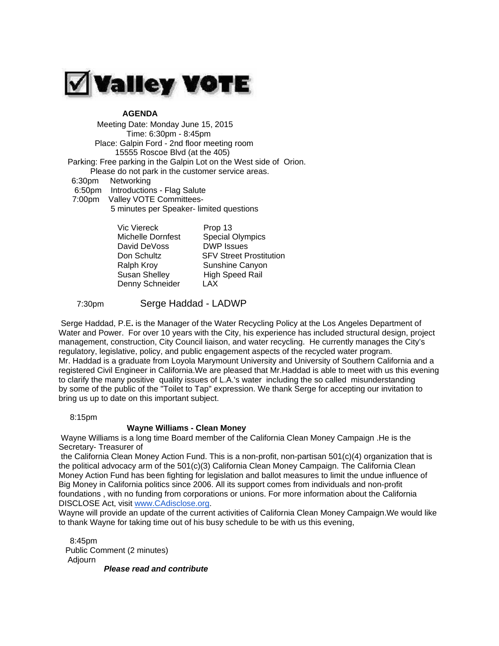

## **AGENDA**

 Meeting Date: Monday June 15, 2015 Time: 6:30pm - 8:45pm Place: Galpin Ford - 2nd floor meeting room 15555 Roscoe Blvd (at the 405) Parking: Free parking in the Galpin Lot on the West side of Orion. Please do not park in the customer service areas. 6:30pm Networking 6:50pm Introductions - Flag Salute 7:00pm Valley VOTE Committees- 5 minutes per Speaker- limited questions

| Vic Viereck          | Prop 13                        |
|----------------------|--------------------------------|
| Michelle Dornfest    | <b>Special Olympics</b>        |
| David DeVoss         | <b>DWP</b> Issues              |
| Don Schultz          | <b>SFV Street Prostitution</b> |
| Ralph Kroy           | Sunshine Canyon                |
| <b>Susan Shelley</b> | <b>High Speed Rail</b>         |
| Denny Schneider      | LAX                            |

## 7:30pm Serge Haddad - LADWP

Serge Haddad, P.E**.** is the Manager of the Water Recycling Policy at the Los Angeles Department of Water and Power. For over 10 years with the City, his experience has included structural design, project management, construction, City Council liaison, and water recycling. He currently manages the City's regulatory, legislative, policy, and public engagement aspects of the recycled water program. Mr. Haddad is a graduate from Loyola Marymount University and University of Southern California and a registered Civil Engineer in California.We are pleased that Mr.Haddad is able to meet with us this evening to clarify the many positive quality issues of L.A.'s water including the so called misunderstanding by some of the public of the "Toilet to Tap" expression. We thank Serge for accepting our invitation to bring us up to date on this important subject.

8:15pm

## **Wayne Williams - Clean Money**

Wayne Williams is a long time Board member of the California Clean Money Campaign .He is the Secretary- Treasurer of

the California Clean Money Action Fund. This is a non-profit, non-partisan 501(c)(4) organization that is the political advocacy arm of the 501(c)(3) California Clean Money Campaign. The California Clean Money Action Fund has been fighting for legislation and ballot measures to limit the undue influence of Big Money in California politics since 2006. All its support comes from individuals and non-profit foundations , with no funding from corporations or unions. For more information about the California DISCLOSE Act, visit [www.CAdisclose.org.](http://www.cadisclose.org/)

Wayne will provide an update of the current activities of California Clean Money Campaign.We would like to thank Wayne for taking time out of his busy schedule to be with us this evening,

 8:45pm Public Comment (2 minutes) Adjourn

*Please read and contribute*